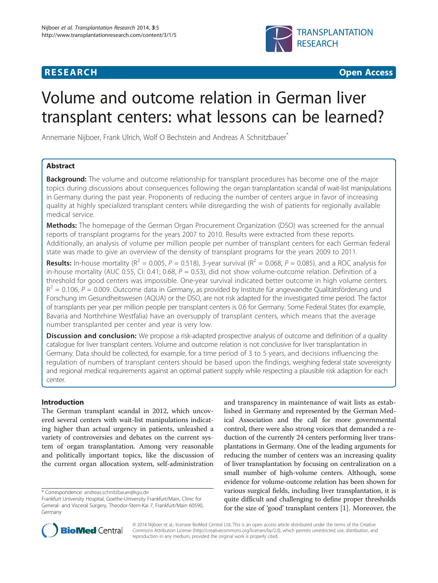## **RESEARCH CHINESE ARCH CHINESE ARCH CHINESE ARCH <b>CHINESE ARCH CHINESE ARCH CHINESE ARCH <b>CHINESE** ARCH **CHINESE ARCH** CHINESE ARCH **CHINESE ARCH 2014**



# Volume and outcome relation in German liver transplant centers: what lessons can be learned?

Annemarie Nijboer, Frank Ulrich, Wolf O Bechstein and Andreas A Schnitzbauer<sup>\*</sup>

## Abstract

**Background:** The volume and outcome relationship for transplant procedures has become one of the major topics during discussions about consequences following the organ transplantation scandal of wait-list manipulations in Germany during the past year. Proponents of reducing the number of centers argue in favor of increasing quality at highly specialized transplant centers while disregarding the wish of patients for regionally available medical service.

Methods: The homepage of the German Organ Procurement Organization (DSO) was screened for the annual reports of transplant programs for the years 2007 to 2010. Results were extracted from these reports. Additionally, an analysis of volume per million people per number of transplant centers for each German federal state was made to give an overview of the density of transplant programs for the years 2009 to 2011.

**Results:** In-house mortality ( $R^2 = 0.005$ ,  $P = 0.518$ ), 3-year survival ( $R^2 = 0.068$ ,  $P = 0.085$ ), and a ROC analysis for in-house mortality (AUC 0.55, CI: 0.41; 0.68,  $P = 0.53$ ), did not show volume-outcome relation. Definition of a threshold for good centers was impossible. One-year survival indicated better outcome in high volume centers.  $R^2$  = 0.106, P = 0.009. Outcome data in Germany, as provided by Institute für angewandte Qualitätsförderung und Forschung im Gesundheitswesen (AQUA) or the DSO, are not risk adapted for the investigated time period. The factor of transplants per year per million people per transplant centers is 0.6 for Germany. Some Federal States (for example, Bavaria and Northrhine Westfalia) have an oversupply of transplant centers, which means that the average number transplanted per center and year is very low.

**Discussion and conclusion:** We propose a risk-adapted prospective analysis of outcome and definition of a quality catalogue for liver transplant centers. Volume and outcome relation is not conclusive for liver transplantation in Germany. Data should be collected, for example, for a time period of 3 to 5 years, and decisions influencing the regulation of numbers of transplant centers should be based upon the findings, weighing federal state sovereignty and regional medical requirements against an optimal patient supply while respecting a plausible risk adaption for each center.

## Introduction

The German transplant scandal in 2012, which uncovered several centers with wait-list manipulations indicating higher than actual urgency in patients, unleashed a variety of controversies and debates on the current system of organ transplantation. Among very reasonable and politically important topics, like the discussion of the current organ allocation system, self-administration

and transparency in maintenance of wait lists as established in Germany and represented by the German Medical Association and the call for more governmental control, there were also strong voices that demanded a reduction of the currently 24 centers performing liver transplantations in Germany. One of the leading arguments for reducing the number of centers was an increasing quality of liver transplantation by focusing on centralization on a small number of high-volume centers. Although, some evidence for volume-outcome relation has been shown for various surgical fields, including liver transplantation, it is quite difficult and challenging to define proper thresholds for the size of 'good' transplant centers [[1](#page-6-0)]. Moreover, the



© 2014 Nijboer et al.; licensee BioMed Central Ltd. This is an open access article distributed under the terms of the Creative Commons Attribution License [\(http://creativecommons.org/licenses/by/2.0\)](http://creativecommons.org/licenses/by/2.0), which permits unrestricted use, distribution, and reproduction in any medium, provided the original work is properly cited.

<sup>\*</sup> Correspondence: [andreas.schnitzbauer@kgu.de](mailto:andreas.schnitzbauer@kgu.de)

Frankfurt University Hospital, Goethe-University Frankfurt/Main, Clinic for General- and Visceral Surgery, Theodor-Stern-Kai 7, Frankfurt/Main 60590, Germany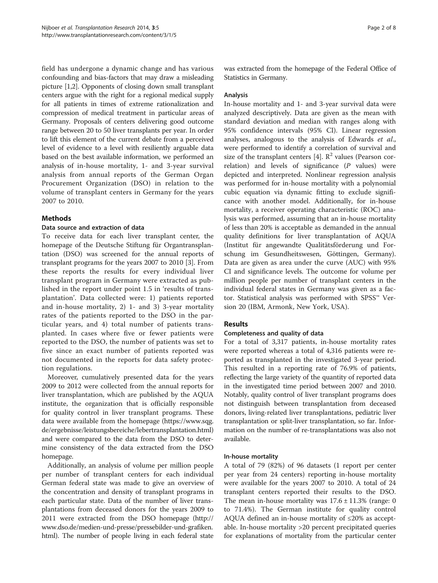field has undergone a dynamic change and has various confounding and bias-factors that may draw a misleading picture [\[1,2\]](#page-6-0). Opponents of closing down small transplant centers argue with the right for a regional medical supply for all patients in times of extreme rationalization and compression of medical treatment in particular areas of Germany. Proposals of centers delivering good outcome range between 20 to 50 liver transplants per year. In order to lift this element of the current debate from a perceived level of evidence to a level with resiliently arguable data based on the best available information, we performed an analysis of in-house mortality, 1- and 3-year survival analysis from annual reports of the German Organ Procurement Organization (DSO) in relation to the volume of transplant centers in Germany for the years 2007 to 2010.

## **Methods**

#### Data source and extraction of data

To receive data for each liver transplant center, the homepage of the Deutsche Stiftung für Organtransplantation (DSO) was screened for the annual reports of transplant programs for the years 2007 to 2010 [\[3](#page-6-0)]. From these reports the results for every individual liver transplant program in Germany were extracted as published in the report under point 1.5 in 'results of transplantation'. Data collected were: 1) patients reported and in-house mortality, 2) 1- and 3) 3-year mortality rates of the patients reported to the DSO in the particular years, and 4) total number of patients transplanted. In cases where five or fewer patients were reported to the DSO, the number of patients was set to five since an exact number of patients reported was not documented in the reports for data safety protection regulations.

Moreover, cumulatively presented data for the years 2009 to 2012 were collected from the annual reports for liver transplantation, which are published by the AQUA institute, the organization that is officially responsible for quality control in liver transplant programs. These data were available from the homepage [\(https://www.sqg.](https://www.sqg.de/ergebnisse/leistungsbereiche/lebertransplantation.html) [de/ergebnisse/leistungsbereiche/lebertransplantation.html](https://www.sqg.de/ergebnisse/leistungsbereiche/lebertransplantation.html)) and were compared to the data from the DSO to determine consistency of the data extracted from the DSO homepage.

Additionally, an analysis of volume per million people per number of transplant centers for each individual German federal state was made to give an overview of the concentration and density of transplant programs in each particular state. Data of the number of liver transplantations from deceased donors for the years 2009 to 2011 were extracted from the DSO homepage [\(http://](http://www.dso.de/medien-und-presse/pressebilder-und-grafiken.html) [www.dso.de/medien-und-presse/pressebilder-und-grafiken.](http://www.dso.de/medien-und-presse/pressebilder-und-grafiken.html) [html](http://www.dso.de/medien-und-presse/pressebilder-und-grafiken.html)). The number of people living in each federal state

was extracted from the homepage of the Federal Office of Statistics in Germany.

#### Analysis

In-house mortality and 1- and 3-year survival data were analyzed descriptively. Data are given as the mean with standard deviation and median with ranges along with 95% confidence intervals (95% CI). Linear regression analyses, analogous to the analysis of Edwards et al., were performed to identify a correlation of survival and size of the transplant centers [\[4](#page-6-0)].  $\mathbb{R}^2$  values (Pearson correlation) and levels of significance  $(P$  values) were depicted and interpreted. Nonlinear regression analysis was performed for in-house mortality with a polynomial cubic equation via dynamic fitting to exclude significance with another model. Additionally, for in-house mortality, a receiver operating characteristic (ROC) analysis was performed, assuming that an in-house mortality of less than 20% is acceptable as demanded in the annual quality definitions for liver transplantation of AQUA (Institut für angewandte Qualitätsförderung und Forschung im Gesundheitswesen, Göttingen, Germany). Data are given as area under the curve (AUC) with 95% CI and significance levels. The outcome for volume per million people per number of transplant centers in the individual federal states in Germany was given as a factor. Statistical analysis was performed with SPSS™ Version 20 (IBM, Armonk, New York, USA).

### Results

#### Completeness and quality of data

For a total of 3,317 patients, in-house mortality rates were reported whereas a total of 4,316 patients were reported as transplanted in the investigated 3-year period. This resulted in a reporting rate of 76.9% of patients, reflecting the large variety of the quantity of reported data in the investigated time period between 2007 and 2010. Notably, quality control of liver transplant programs does not distinguish between transplantation from deceased donors, living-related liver transplantations, pediatric liver transplantation or split-liver transplantation, so far. Information on the number of re-transplantations was also not available.

#### In-house mortality

A total of 79 (82%) of 96 datasets (1 report per center per year from 24 centers) reporting in-house mortality were available for the years 2007 to 2010. A total of 24 transplant centers reported their results to the DSO. The mean in-house mortality was  $17.6 \pm 11.3\%$  (range: 0 to 71.4%). The German institute for quality control AQUA defined an in-house mortality of ≤20% as acceptable. In-house mortality >20 percent precipitated queries for explanations of mortality from the particular center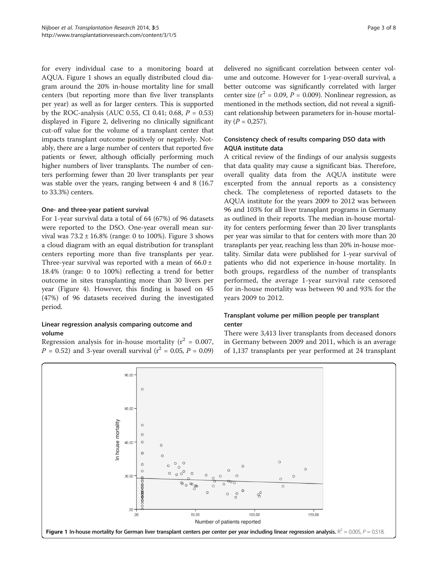for every individual case to a monitoring board at AQUA. Figure 1 shows an equally distributed cloud diagram around the 20% in-house mortality line for small centers (but reporting more than five liver transplants per year) as well as for larger centers. This is supported by the ROC-analysis (AUC 0.55, CI 0.41; 0.68,  $P = 0.53$ ) displayed in Figure [2,](#page-3-0) delivering no clinically significant cut-off value for the volume of a transplant center that impacts transplant outcome positively or negatively. Notably, there are a large number of centers that reported five patients or fewer, although officially performing much higher numbers of liver transplants. The number of centers performing fewer than 20 liver transplants per year was stable over the years, ranging between 4 and 8 (16.7 to 33.3%) centers.

#### One- and three-year patient survival

For 1-year survival data a total of 64 (67%) of 96 datasets were reported to the DSO. One-year overall mean survival was  $73.2 \pm 16.8\%$  (range: 0 to 100%). Figure [3](#page-3-0) shows a cloud diagram with an equal distribution for transplant centers reporting more than five transplants per year. Three-year survival was reported with a mean of  $66.0 \pm$ 18.4% (range: 0 to 100%) reflecting a trend for better outcome in sites transplanting more than 30 livers per year (Figure [4\)](#page-4-0). However, this finding is based on 45 (47%) of 96 datasets received during the investigated period.

### Linear regression analysis comparing outcome and volume

Regression analysis for in-house mortality ( $r^2 = 0.007$ ,  $P = 0.52$ ) and 3-year overall survival ( $r^2 = 0.05$ ,  $P = 0.09$ ) delivered no significant correlation between center volume and outcome. However for 1-year-overall survival, a better outcome was significantly correlated with larger center size ( $r^2$  = 0.09, P = 0.009). Nonlinear regression, as mentioned in the methods section, did not reveal a significant relationship between parameters for in-house mortality ( $P = 0.257$ ).

## Consistency check of results comparing DSO data with AQUA institute data

A critical review of the findings of our analysis suggests that data quality may cause a significant bias. Therefore, overall quality data from the AQUA institute were excerpted from the annual reports as a consistency check. The completeness of reported datasets to the AQUA institute for the years 2009 to 2012 was between 96 and 103% for all liver transplant programs in Germany as outlined in their reports. The median in-house mortality for centers performing fewer than 20 liver transplants per year was similar to that for centers with more than 20 transplants per year, reaching less than 20% in-house mortality. Similar data were published for 1-year survival of patients who did not experience in-house mortality. In both groups, regardless of the number of transplants performed, the average 1-year survival rate censored for in-house mortality was between 90 and 93% for the years 2009 to 2012.

### Transplant volume per million people per transplant center

There were 3,413 liver transplants from deceased donors in Germany between 2009 and 2011, which is an average of 1,137 transplants per year performed at 24 transplant

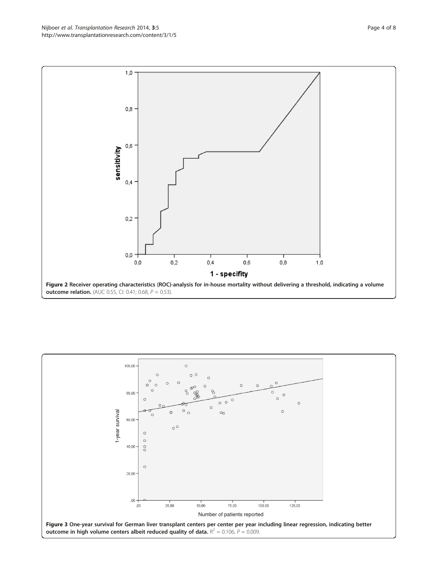<span id="page-3-0"></span>

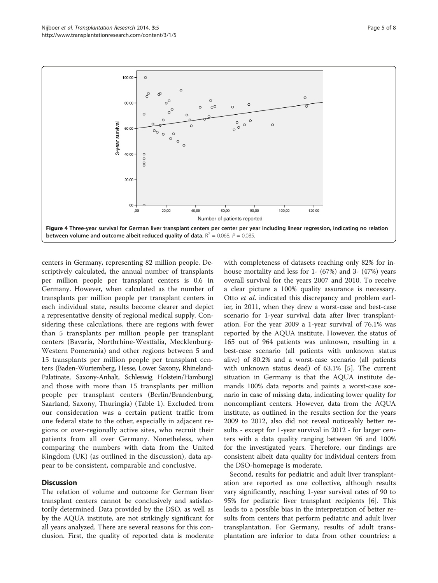<span id="page-4-0"></span>

centers in Germany, representing 82 million people. Descriptively calculated, the annual number of transplants per million people per transplant centers is 0.6 in Germany. However, when calculated as the number of transplants per million people per transplant centers in each individual state, results become clearer and depict a representative density of regional medical supply. Considering these calculations, there are regions with fewer than 5 transplants per million people per transplant centers (Bavaria, Northrhine-Westfalia, Mecklenburg-Western Pomerania) and other regions between 5 and 15 transplants per million people per transplant centers (Baden-Wurtemberg, Hesse, Lower Saxony, Rhineland-Palatinate, Saxony-Anhalt, Schleswig Holstein/Hamburg) and those with more than 15 transplants per million people per transplant centers (Berlin/Brandenburg, Saarland, Saxony, Thuringia) (Table [1\)](#page-5-0). Excluded from our consideration was a certain patient traffic from one federal state to the other, especially in adjacent regions or over-regionally active sites, who recruit their patients from all over Germany. Nonetheless, when comparing the numbers with data from the United Kingdom (UK) (as outlined in the discussion), data appear to be consistent, comparable and conclusive.

### **Discussion**

The relation of volume and outcome for German liver transplant centers cannot be conclusively and satisfactorily determined. Data provided by the DSO, as well as by the AQUA institute, are not strikingly significant for all years analyzed. There are several reasons for this conclusion. First, the quality of reported data is moderate

with completeness of datasets reaching only 82% for inhouse mortality and less for 1- (67%) and 3- (47%) years overall survival for the years 2007 and 2010. To receive a clear picture a 100% quality assurance is necessary. Otto et al. indicated this discrepancy and problem earlier, in 2011, when they drew a worst-case and best-case scenario for 1-year survival data after liver transplantation. For the year 2009 a 1-year survival of 76.1% was reported by the AQUA institute. However, the status of 165 out of 964 patients was unknown, resulting in a best-case scenario (all patients with unknown status alive) of 80.2% and a worst-case scenario (all patients with unknown status dead) of 63.1% [\[5\]](#page-6-0). The current situation in Germany is that the AQUA institute demands 100% data reports and paints a worst-case scenario in case of missing data, indicating lower quality for noncompliant centers. However, data from the AQUA institute, as outlined in the results section for the years 2009 to 2012, also did not reveal noticeably better results - except for 1-year survival in 2012 - for larger centers with a data quality ranging between 96 and 100% for the investigated years. Therefore, our findings are consistent albeit data quality for individual centers from the DSO-homepage is moderate.

Second, results for pediatric and adult liver transplantation are reported as one collective, although results vary significantly, reaching 1-year survival rates of 90 to 95% for pediatric liver transplant recipients [[6](#page-6-0)]. This leads to a possible bias in the interpretation of better results from centers that perform pediatric and adult liver transplantation. For Germany, results of adult transplantation are inferior to data from other countries: a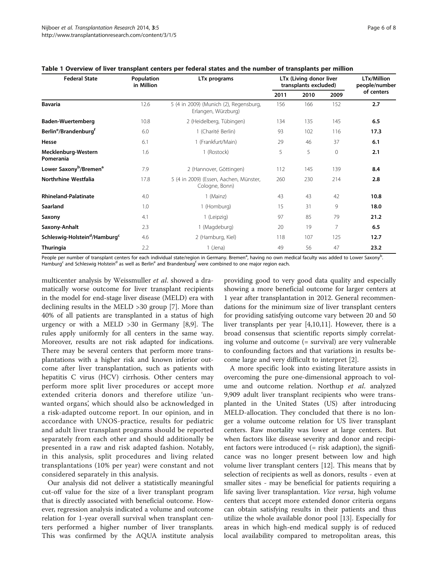| <b>Federal State</b>                                  | Population<br>in Million | LTx programs                                                  | LTx (Living donor liver<br>transplants excluded) |      |             | LTx/Million<br>people/number |
|-------------------------------------------------------|--------------------------|---------------------------------------------------------------|--------------------------------------------------|------|-------------|------------------------------|
|                                                       |                          |                                                               | 2011                                             | 2010 | 2009        | of centers                   |
| <b>Bavaria</b>                                        | 12.6                     | 5 (4 in 2009) (Munich (2), Regensburg,<br>Erlangen, Würzburg) | 156                                              | 166  | 152         | 2.7                          |
| <b>Baden-Wuertemberg</b>                              | 10.8                     | 2 (Heidelberg, Tübingen)                                      | 134                                              | 135  | 145         | 6.5                          |
| Berlin <sup>e</sup> /Brandenburg <sup>f</sup>         | 6.0                      | 1 (Charité Berlin)                                            | 93                                               | 102  | 116         | 17.3                         |
| Hesse                                                 | 6.1                      | 1 (Frankfurt/Main)                                            | 29                                               | 46   | 37          | 6.1                          |
| Mecklenburg-Western<br>Pomerania                      | 1.6                      | 1 (Rostock)                                                   | 5                                                | 5    | $\mathbf 0$ | 2.1                          |
| Lower Saxony <sup>b</sup> /Bremen <sup>a</sup>        | 7.9                      | 2 (Hannover, Göttingen)                                       | 112                                              | 145  | 139         | 8.4                          |
| Northrhine Westfalia                                  | 17.8                     | 5 (4 in 2009) (Essen, Aachen, Münster,<br>Cologne, Bonn)      | 260                                              | 230  | 214         | 2.8                          |
| <b>Rhineland-Palatinate</b>                           | 4.0                      | 1 (Mainz)                                                     | 43                                               | 43   | 42          | 10.8                         |
| Saarland                                              | 1.0                      | 1 (Homburg)                                                   | 15                                               | 31   | 9           | 18.0                         |
| Saxony                                                | 4.1                      | 1 (Leipzig)                                                   | 97                                               | 85   | 79          | 21.2                         |
| Saxony-Anhalt                                         | 2.3                      | 1 (Magdeburg)                                                 | 20                                               | 19   | 7           | 6.5                          |
| Schleswig-Holstein <sup>d</sup> /Hamburg <sup>c</sup> | 4.6                      | 2 (Hamburg, Kiel)                                             | 118                                              | 107  | 125         | 12.7                         |
| Thuringia                                             | 2.2                      | 1 (Jena)                                                      | 49                                               | 56   | 47          | 23.2                         |

#### <span id="page-5-0"></span>Table 1 Overview of liver transplant centers per federal states and the number of transplants per million

People per number of transplant centers for each individual state/region in Germany. Bremen $^a$ , having no own medical faculty was added to Lower Saxony $^{\tt b}$ . Hamburg<sup>c</sup> and Schleswig Holstein<sup>d</sup> as well as Berlin<sup>e</sup> and Brandenburg<sup>f</sup> were combined to one major region each.

multicenter analysis by Weissmuller et al. showed a dramatically worse outcome for liver transplant recipients in the model for end-stage liver disease (MELD) era with declining results in the MELD >30 group [\[7](#page-7-0)]. More than 40% of all patients are transplanted in a status of high urgency or with a MELD >30 in Germany [\[8,9\]](#page-7-0). The rules apply uniformly for all centers in the same way. Moreover, results are not risk adapted for indications. There may be several centers that perform more transplantations with a higher risk and known inferior outcome after liver transplantation, such as patients with hepatitis C virus (HCV) cirrhosis. Other centers may perform more split liver procedures or accept more extended criteria donors and therefore utilize 'unwanted organs', which should also be acknowledged in a risk-adapted outcome report. In our opinion, and in accordance with UNOS-practice, results for pediatric and adult liver transplant programs should be reported separately from each other and should additionally be presented in a raw and risk adapted fashion. Notably, in this analysis, split procedures and living related transplantations (10% per year) were constant and not considered separately in this analysis.

Our analysis did not deliver a statistically meaningful cut-off value for the size of a liver transplant program that is directly associated with beneficial outcome. However, regression analysis indicated a volume and outcome relation for 1-year overall survival when transplant centers performed a higher number of liver transplants. This was confirmed by the AQUA institute analysis providing good to very good data quality and especially showing a more beneficial outcome for larger centers at 1 year after transplantation in 2012. General recommendations for the minimum size of liver transplant centers for providing satisfying outcome vary between 20 and 50 liver transplants per year [[4,](#page-6-0)[10,11\]](#page-7-0). However, there is a broad consensus that scientific reports simply correlating volume and outcome (= survival) are very vulnerable to confounding factors and that variations in results become large and very difficult to interpret [[2\]](#page-6-0).

A more specific look into existing literature assists in overcoming the pure one-dimensional approach to volume and outcome relation. Northup et al. analyzed 9,909 adult liver transplant recipients who were transplanted in the United States (US) after introducing MELD-allocation. They concluded that there is no longer a volume outcome relation for US liver transplant centers. Raw mortality was lower at large centers. But when factors like disease severity and donor and recipient factors were introduced (= risk adaption), the significance was no longer present between low and high volume liver transplant centers [[12\]](#page-7-0). This means that by selection of recipients as well as donors, results - even at smaller sites - may be beneficial for patients requiring a life saving liver transplantation. Vice versa, high volume centers that accept more extended donor criteria organs can obtain satisfying results in their patients and thus utilize the whole available donor pool [[13\]](#page-7-0). Especially for areas in which high-end medical supply is of reduced local availability compared to metropolitan areas, this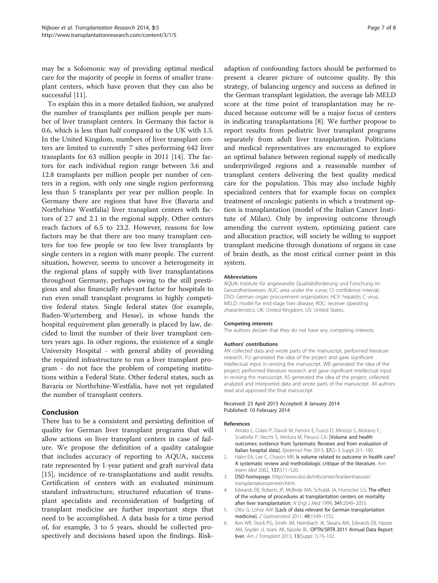<span id="page-6-0"></span>may be a Solomonic way of providing optimal medical care for the majority of people in forms of smaller transplant centers, which have proven that they can also be successful [\[11](#page-7-0)].

To explain this in a more detailed fashion, we analyzed the number of transplants per million people per number of liver transplant centers. In Germany this factor is 0.6, which is less than half compared to the UK with 1.5. In the United Kingdom, numbers of liver transplant centers are limited to currently 7 sites performing 642 liver transplants for 63 million people in 2011 [[14](#page-7-0)]. The factors for each individual region range between 3.6 and 12.8 transplants per million people per number of centers in a region, with only one single region performing less than 5 transplants per year per million people. In Germany there are regions that have five (Bavaria and Northrhine Westfalia) liver transplant centers with factors of 2.7 and 2.1 in the regional supply. Other centers reach factors of 6.5 to 23.2. However, reasons for low factors may be that there are too many transplant centers for too few people or too few liver transplants by single centers in a region with many people. The current situation, however, seems to uncover a heterogeneity in the regional plans of supply with liver transplantations throughout Germany, perhaps owing to the still prestigious and also financially relevant factor for hospitals to run even small transplant programs in highly competitive federal states. Single federal states (for example, Baden-Wurtemberg and Hesse), in whose hands the hospital requirement plan generally is placed by law, decided to limit the number of their liver transplant centers years ago. In other regions, the existence of a single University Hospital - with general ability of providing the required infrastructure to run a liver transplant program - do not face the problem of competing institutions within a Federal State. Other federal states, such as Bavaria or Northrhine-Westfalia, have not yet regulated the number of transplant centers.

## Conclusion

There has to be a consistent and persisting definition of quality for German liver transplant programs that will allow actions on liver transplant centers in case of failure. We propose the definition of a quality catalogue that includes accuracy of reporting to AQUA, success rate represented by 1-year patient and graft survival data [[15\]](#page-7-0), incidence of re-transplantations and audit results. Certification of centers with an evaluated minimum standard infrastructure, structured education of transplant specialists and reconsideration of budgeting of transplant medicine are further important steps that need to be accomplished. A data basis for a time period of, for example, 3 to 5 years, should be collected prospectively and decisions based upon the findings. Risk-

adaption of confounding factors should be performed to present a clearer picture of outcome quality. By this strategy, of balancing urgency and success as defined in the German transplant legislation, the average lab MELD score at the time point of transplantation may be reduced because outcome will be a major focus of centers in indicating transplantations [[8\]](#page-7-0). We further propose to report results from pediatric liver transplant programs separately from adult liver transplantation. Politicians and medical representatives are encouraged to explore an optimal balance between regional supply of medically underprivileged regions and a reasonable number of transplant centers delivering the best quality medical care for the population. This may also include highly specialized centers that for example focus on complex treatment of oncologic patients in which a treatment option is transplantation (model of the Italian Cancer Institute of Milan). Only by improving outcome through amending the current system, optimizing patient care and allocation practice, will society be willing to support transplant medicine through donations of organs in case of brain death, as the most critical corner point in this system.

#### Abbreviations

AQUA: Institute für angewandte Qualitätsförderung und Forschung im Gesundheitswesen; AUC: area under the curve; CI: confidence interval; DSO: German organ procurement organization; HCV: hepatitis C virus; MELD: model for end-stage liver disease; ROC: receiver operating characteristics; UK: United Kingdom; US: United States.

#### Competing interests

The authors declare that they do not have any competing interests.

#### Authors' contributions

AN collected data and wrote parts of the manuscript, performed literature research. FU generated the idea of the project and gave significant intellectual input in revising the manuscript. WB generated the idea of the project, performed literature research and gave significant intellectual input in revising the manuscript. AS generated the idea of the project, collected, analyzed and interpreted data and wrote parts of the manuscript. All authors read and approved the final manuscript.

#### Received: 23 April 2013 Accepted: 8 January 2014 Published: 10 February 2014

#### References

- 1. Amato L, Colais P, Davoli M, Ferroni E, Fusco D, Minozzi S, Moirano F, Sciattella P, Vecchi S, Ventura M, Perucci CA: [Volume and health outcomes: evidence from Systematic Reviews and from evaluation of Italian hospital data]. Epidemiol Prev 2013, 37(2–3 Suppl 2):1–100.
- 2. Halm EA, Lee C, Chassin MR: Is volume related to outcome in health care? A systematic review and methodologic critique of the literature. Ann Intern Med 2002, 137:511–520.
- 3. DSO homepage. [http://www.dso.de/infocenter/krankenhaeuser/](http://www.dso.de/infocenter/krankenhaeuser/transplantationszentren.html) [transplantationszentren.html.](http://www.dso.de/infocenter/krankenhaeuser/transplantationszentren.html)
- 4. Edwards EB, Roberts JP, McBride MA, Schulak JA, Hunsicker LG: The effect of the volume of procedures at transplantation centers on mortality after liver transplantation. N Engl J Med 1999, 341:2049-2053
- 5. Otto G, Lohse AW: [Lack of data relevant for German transplantation medicine]. Z Gastroenterol 2011, 49:1549–1552.
- 6. Kim WR, Stock PG, Smith JM, Heimbach JK, Skeans MA, Edwards EB, Harper AM, Snyder JJ, Israni AK, Kasiske BL: OPTN/SRTR 2011 Annual Data Report: liver. Am J Transplant 2013, 13(Suppl 1):73–102.